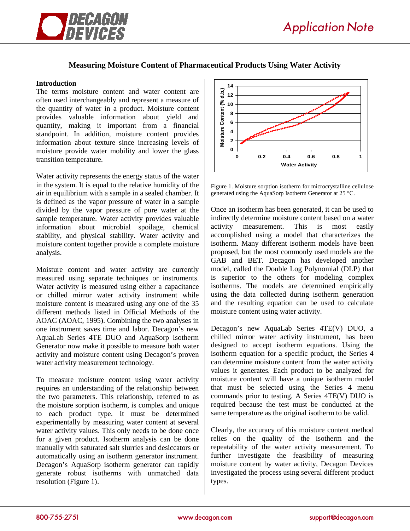

## **Measuring Moisture Content of Pharmaceutical Products Using Water Activity**

### **Introduction**

The terms moisture content and water content are often used interchangeably and represent a measure of the quantity of water in a product. Moisture content provides valuable information about yield and quantity, making it important from a financial standpoint. In addition, moisture content provides information about texture since increasing levels of moisture provide water mobility and lower the glass transition temperature.

Water activity represents the energy status of the water in the system. It is equal to the relative humidity of the air in equilibrium with a sample in a sealed chamber. It is defined as the vapor pressure of water in a sample divided by the vapor pressure of pure water at the sample temperature. Water activity provides valuable information about microbial spoilage, chemical stability, and physical stability. Water activity and moisture content together provide a complete moisture analysis.

Moisture content and water activity are currently measured using separate techniques or instruments. Water activity is measured using either a capacitance or chilled mirror water activity instrument while moisture content is measured using any one of the 35 different methods listed in Official Methods of the AOAC (AOAC, 1995). Combining the two analyses in one instrument saves time and labor. Decagon's new AquaLab Series 4TE DUO and AquaSorp Isotherm Generator now make it possible to measure both water activity and moisture content using Decagon's proven water activity measurement technology.

To measure moisture content using water activity requires an understanding of the relationship between the two parameters. This relationship, referred to as the moisture sorption isotherm, is complex and unique to each product type. It must be determined experimentally by measuring water content at several water activity values. This only needs to be done once for a given product. Isotherm analysis can be done manually with saturated salt slurries and desiccators or automatically using an isotherm generator instrument. Decagon's AquaSorp isotherm generator can rapidly generate robust isotherms with unmatched data resolution (Figure 1).



Figure 1. Moisture sorption isotherm for microcrystalline cellulose generated using the AquaSorp Isotherm Generator at 25 °C.

Once an isotherm has been generated, it can be used to indirectly determine moisture content based on a water activity measurement. This is most easily accomplished using a model that characterizes the isotherm. Many different isotherm models have been proposed, but the most commonly used models are the GAB and BET. Decagon has developed another model, called the Double Log Polynomial (DLP) that is superior to the others for modeling complex isotherms. The models are determined empirically using the data collected during isotherm generation and the resulting equation can be used to calculate moisture content using water activity.

Decagon's new AquaLab Series 4TE(V) DUO, a chilled mirror water activity instrument, has been designed to accept isotherm equations. Using the isotherm equation for a specific product, the Series 4 can determine moisture content from the water activity values it generates. Each product to be analyzed for moisture content will have a unique isotherm model that must be selected using the Series 4 menu commands prior to testing. A Series 4TE(V) DUO is required because the test must be conducted at the same temperature as the original isotherm to be valid.

Clearly, the accuracy of this moisture content method relies on the quality of the isotherm and the repeatability of the water activity measurement. To further investigate the feasibility of measuring moisture content by water activity, Decagon Devices investigated the process using several different product types.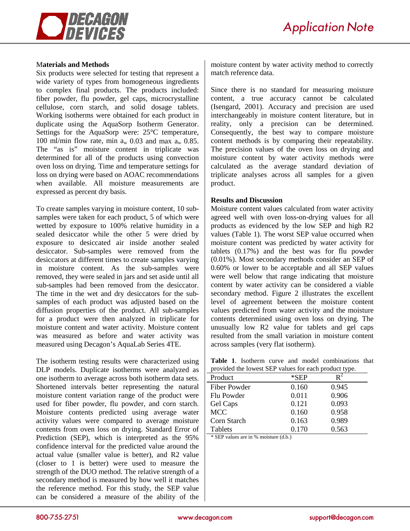

### M**aterials and Methods**

Six products were selected for testing that represent a wide variety of types from homogeneous ingredients to complex final products. The products included: fiber powder, flu powder, gel caps, microcrystalline cellulose, corn starch, and solid dosage tablets. Working isotherms were obtained for each product in duplicate using the AquaSorp Isotherm Generator. Settings for the AquaSorp were: 25°C temperature, 100 ml/min flow rate, min  $a_w$  0.03 and max  $a_w$  0.85. The "as is" moisture content in triplicate was determined for all of the products using convection oven loss on drying. Time and temperature settings for loss on drying were based on AOAC recommendations when available. All moisture measurements are expressed as percent dry basis.

To create samples varying in moisture content, 10 subsamples were taken for each product, 5 of which were wetted by exposure to 100% relative humidity in a sealed desiccator while the other 5 were dried by exposure to desiccated air inside another sealed desiccator. Sub-samples were removed from the desiccators at different times to create samples varying in moisture content. As the sub-samples were removed, they were sealed in jars and set aside until all sub-samples had been removed from the desiccator. The time in the wet and dry desiccators for the subsamples of each product was adjusted based on the diffusion properties of the product. All sub-samples for a product were then analyzed in triplicate for moisture content and water activity. Moisture content was measured as before and water activity was measured using Decagon's AquaLab Series 4TE.

The isotherm testing results were characterized using DLP models. Duplicate isotherms were analyzed as one isotherm to average across both isotherm data sets. Shortened intervals better representing the natural moisture content variation range of the product were used for fiber powder, flu powder, and corn starch. Moisture contents predicted using average water activity values were compared to average moisture contents from oven loss on drying. Standard Error of Prediction (SEP), which is interpreted as the 95% confidence interval for the predicted value around the actual value (smaller value is better), and R2 value (closer to 1 is better) were used to measure the strength of the DUO method. The relative strength of a secondary method is measured by how well it matches the reference method. For this study, the SEP value can be considered a measure of the ability of the moisture content by water activity method to correctly match reference data.

Since there is no standard for measuring moisture content, a true accuracy cannot be calculated (Isengard, 2001). Accuracy and precision are used interchangeably in moisture content literature, but in reality, only a precision can be determined. Consequently, the best way to compare moisture content methods is by comparing their repeatability. The precision values of the oven loss on drying and moisture content by water activity methods were calculated as the average standard deviation of triplicate analyses across all samples for a given product.

#### **Results and Discussion**

Moisture content values calculated from water activity agreed well with oven loss-on-drying values for all products as evidenced by the low SEP and high R2 values (Table 1). The worst SEP value occurred when moisture content was predicted by water activity for tablets (0.17%) and the best was for flu powder (0.01%). Most secondary methods consider an SEP of 0.60% or lower to be acceptable and all SEP values were well below that range indicating that moisture content by water activity can be considered a viable secondary method. Figure 2 illustrates the excellent level of agreement between the moisture content values predicted from water activity and the moisture contents determined using oven loss on drying. The unusually low R2 value for tablets and gel caps resulted from the small variation in moisture content across samples (very flat isotherm).

|  |  |  | <b>Table 1.</b> Isotherm curve and model combinations that |  |
|--|--|--|------------------------------------------------------------|--|
|  |  |  | provided the lowest SEP values for each product type.      |  |

| $\sim$ and to weble $\sim$ . The set of the set of product $\epsilon$ , $\beta$ , $\epsilon$ , |       |       |  |  |
|------------------------------------------------------------------------------------------------|-------|-------|--|--|
| Product                                                                                        | *SEP  |       |  |  |
| Fiber Powder                                                                                   | 0.160 | 0.945 |  |  |
| Flu Powder                                                                                     | 0.011 | 0.906 |  |  |
| Gel Caps                                                                                       | 0.121 | 0.093 |  |  |
| <b>MCC</b>                                                                                     | 0.160 | 0.958 |  |  |
| Corn Starch                                                                                    | 0.163 | 0.989 |  |  |
| Tablets                                                                                        | 0.170 | 0.563 |  |  |

\* SEP values are in % moisture (d.b.)